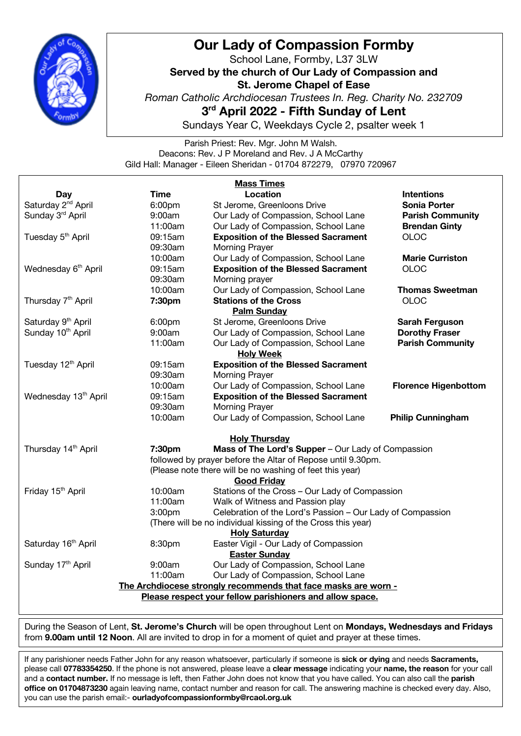

## **Our Lady of Compassion Formby**

School Lane, Formby, L37 3LW **Served by the church of Our Lady of Compassion and St. Jerome Chapel of Ease** *Roman Catholic Archdiocesan Trustees In. Reg. Charity No. 232709* **3rd April 2022 - Fifth Sunday of Lent** Sundays Year C, Weekdays Cycle 2, psalter week 1

Parish Priest: Rev. Mgr. John M Walsh. Deacons: Rev. J P Moreland and Rev. J A McCarthy Gild Hall: Manager - Eileen Sheridan - 01704 872279, 07970 720967

| <b>Mass Times</b>                                              |                                                              |                                                            |                             |
|----------------------------------------------------------------|--------------------------------------------------------------|------------------------------------------------------------|-----------------------------|
| <b>Day</b>                                                     | <b>Time</b>                                                  | Location                                                   | <b>Intentions</b>           |
| Saturday 2 <sup>nd</sup> April                                 | 6:00pm                                                       | St Jerome, Greenloons Drive                                | <b>Sonia Porter</b>         |
| Sunday 3rd April                                               | 9:00am                                                       | Our Lady of Compassion, School Lane                        | <b>Parish Community</b>     |
|                                                                | 11:00am                                                      | Our Lady of Compassion, School Lane                        | <b>Brendan Ginty</b>        |
| Tuesday 5 <sup>th</sup> April                                  | 09:15am                                                      | <b>Exposition of the Blessed Sacrament</b>                 | <b>OLOC</b>                 |
|                                                                | 09:30am                                                      | <b>Morning Prayer</b>                                      |                             |
|                                                                | 10:00am                                                      | Our Lady of Compassion, School Lane                        | <b>Marie Curriston</b>      |
| Wednesday 6 <sup>th</sup> April                                | 09:15am                                                      | <b>Exposition of the Blessed Sacrament</b>                 | <b>OLOC</b>                 |
|                                                                | 09:30am                                                      | Morning prayer                                             |                             |
|                                                                | 10:00am                                                      | Our Lady of Compassion, School Lane                        | <b>Thomas Sweetman</b>      |
| Thursday 7 <sup>th</sup> April                                 | 7:30pm                                                       | <b>Stations of the Cross</b>                               | <b>OLOC</b>                 |
| <b>Palm Sunday</b>                                             |                                                              |                                                            |                             |
| Saturday 9 <sup>th</sup> April                                 | 6:00pm                                                       | St Jerome, Greenloons Drive                                | <b>Sarah Ferguson</b>       |
| Sunday 10th April                                              | 9:00am                                                       | Our Lady of Compassion, School Lane                        | <b>Dorothy Fraser</b>       |
|                                                                | 11:00am                                                      | Our Lady of Compassion, School Lane                        | <b>Parish Community</b>     |
| <b>Holy Week</b>                                               |                                                              |                                                            |                             |
| Tuesday 12 <sup>th</sup> April                                 | 09:15am                                                      | <b>Exposition of the Blessed Sacrament</b>                 |                             |
|                                                                | 09:30am                                                      | <b>Morning Prayer</b>                                      |                             |
|                                                                | 10:00am                                                      | Our Lady of Compassion, School Lane                        | <b>Florence Higenbottom</b> |
| Wednesday 13 <sup>th</sup> April                               | 09:15am                                                      | <b>Exposition of the Blessed Sacrament</b>                 |                             |
|                                                                | 09:30am                                                      | <b>Morning Prayer</b>                                      |                             |
|                                                                | 10:00am                                                      | Our Lady of Compassion, School Lane                        | <b>Philip Cunningham</b>    |
| <b>Holy Thursday</b>                                           |                                                              |                                                            |                             |
| Thursday 14th April                                            | Mass of The Lord's Supper - Our Lady of Compassion<br>7:30pm |                                                            |                             |
| followed by prayer before the Altar of Repose until 9.30pm.    |                                                              |                                                            |                             |
| (Please note there will be no washing of feet this year)       |                                                              |                                                            |                             |
| <b>Good Friday</b>                                             |                                                              |                                                            |                             |
| Friday 15 <sup>th</sup> April                                  | 10:00am                                                      | Stations of the Cross - Our Lady of Compassion             |                             |
|                                                                | 11:00am                                                      | Walk of Witness and Passion play                           |                             |
|                                                                | 3:00pm                                                       | Celebration of the Lord's Passion - Our Lady of Compassion |                             |
| (There will be no individual kissing of the Cross this year)   |                                                              |                                                            |                             |
|                                                                |                                                              | <b>Holy Saturday</b>                                       |                             |
| Saturday 16 <sup>th</sup> April                                | 8:30pm                                                       | Easter Vigil - Our Lady of Compassion                      |                             |
| <b>Easter Sunday</b>                                           |                                                              |                                                            |                             |
| Sunday 17th April                                              | 9:00am                                                       | Our Lady of Compassion, School Lane                        |                             |
| 11:00am<br>Our Lady of Compassion, School Lane                 |                                                              |                                                            |                             |
| The Archdiocese strongly recommends that face masks are worn - |                                                              |                                                            |                             |
| Please respect your fellow parishioners and allow space.       |                                                              |                                                            |                             |

During the Season of Lent, **St. Jerome's Church** will be open throughout Lent on **Mondays, Wednesdays and Fridays** from **9.00am until 12 Noon**. All are invited to drop in for a moment of quiet and prayer at these times.

If any parishioner needs Father John for any reason whatsoever, particularly if someone is **sick or dying** and needs Sacraments, please call **07783354250**. If the phone is not answered, please leave a **clear message** indicating your **name, the reason** for your call and a **contact number.** If no message is left, then Father John does not know that you have called. You can also call the **parish office on 01704873230** again leaving name, contact number and reason for call. The answering machine is checked every day. Also, you can use the parish email:- **ourladyofcompassionformby@rcaol.org.uk**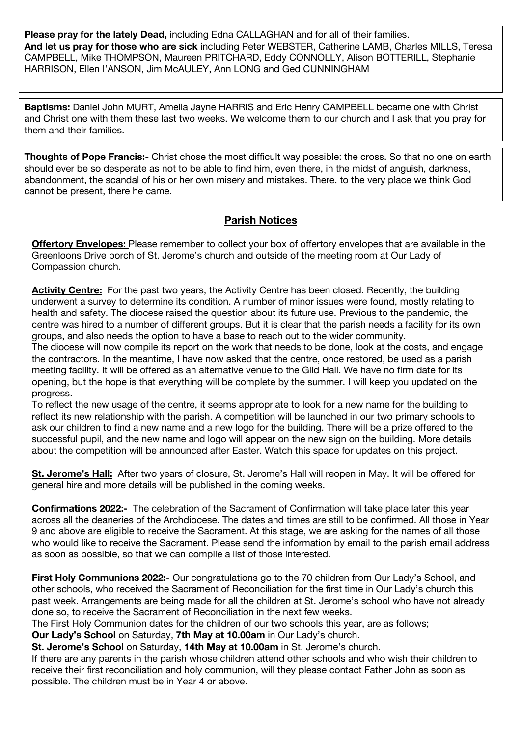**Please pray for the lately Dead,** including Edna CALLAGHAN and for all of their families. **And let us pray for those who are sick** including Peter WEBSTER, Catherine LAMB, Charles MILLS, Teresa CAMPBELL, Mike THOMPSON, Maureen PRITCHARD, Eddy CONNOLLY, Alison BOTTERILL, Stephanie HARRISON, Ellen I'ANSON, Jim McAULEY, Ann LONG and Ged CUNNINGHAM

**Baptisms:** Daniel John MURT, Amelia Jayne HARRIS and Eric Henry CAMPBELL became one with Christ and Christ one with them these last two weeks. We welcome them to our church and I ask that you pray for them and their families.

**Thoughts of Pope Francis:-** Christ chose the most difficult way possible: the cross. So that no one on earth should ever be so desperate as not to be able to find him, even there, in the midst of anguish, darkness, abandonment, the scandal of his or her own misery and mistakes. There, to the very place we think God cannot be present, there he came.

## **Parish Notices**

**Offertory Envelopes:** Please remember to collect your box of offertory envelopes that are available in the Greenloons Drive porch of St. Jerome's church and outside of the meeting room at Our Lady of Compassion church.

**Activity Centre:** For the past two years, the Activity Centre has been closed. Recently, the building underwent a survey to determine its condition. A number of minor issues were found, mostly relating to health and safety. The diocese raised the question about its future use. Previous to the pandemic, the centre was hired to a number of different groups. But it is clear that the parish needs a facility for its own groups, and also needs the option to have a base to reach out to the wider community.

The diocese will now compile its report on the work that needs to be done, look at the costs, and engage the contractors. In the meantime, I have now asked that the centre, once restored, be used as a parish meeting facility. It will be offered as an alternative venue to the Gild Hall. We have no firm date for its opening, but the hope is that everything will be complete by the summer. I will keep you updated on the progress.

To reflect the new usage of the centre, it seems appropriate to look for a new name for the building to reflect its new relationship with the parish. A competition will be launched in our two primary schools to ask our children to find a new name and a new logo for the building. There will be a prize offered to the successful pupil, and the new name and logo will appear on the new sign on the building. More details about the competition will be announced after Easter. Watch this space for updates on this project.

**St. Jerome's Hall:** After two years of closure, St. Jerome's Hall will reopen in May. It will be offered for general hire and more details will be published in the coming weeks.

**Confirmations 2022:-** The celebration of the Sacrament of Confirmation will take place later this year across all the deaneries of the Archdiocese. The dates and times are still to be confirmed. All those in Year 9 and above are eligible to receive the Sacrament. At this stage, we are asking for the names of all those who would like to receive the Sacrament. Please send the information by email to the parish email address as soon as possible, so that we can compile a list of those interested.

**First Holy Communions 2022:-** Our congratulations go to the 70 children from Our Lady's School, and other schools, who received the Sacrament of Reconciliation for the first time in Our Lady's church this past week. Arrangements are being made for all the children at St. Jerome's school who have not already done so, to receive the Sacrament of Reconciliation in the next few weeks.

The First Holy Communion dates for the children of our two schools this year, are as follows;

**Our Lady's School** on Saturday, **7th May at 10.00am** in Our Lady's church.

**St. Jerome's School** on Saturday, **14th May at 10.00am** in St. Jerome's church.

If there are any parents in the parish whose children attend other schools and who wish their children to receive their first reconciliation and holy communion, will they please contact Father John as soon as possible. The children must be in Year 4 or above.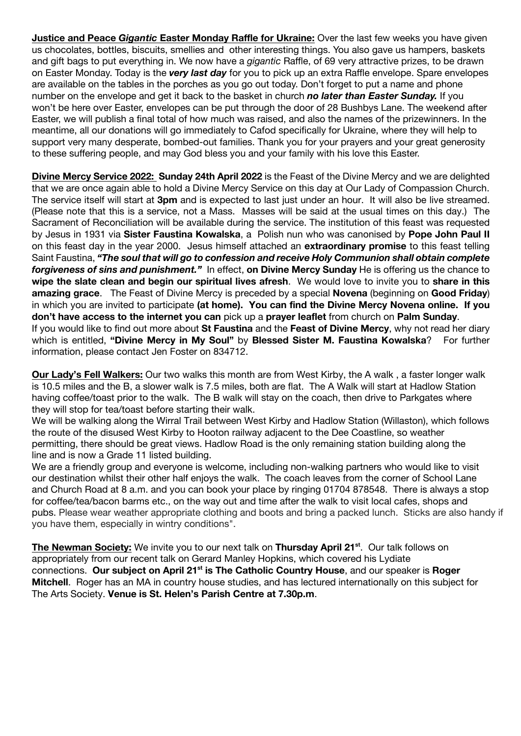**Justice and Peace** *Gigantic* **Easter Monday Raffle for Ukraine:** Over the last few weeks you have given us chocolates, bottles, biscuits, smellies and other interesting things. You also gave us hampers, baskets and gift bags to put everything in. We now have a *gigantic* Raffle, of 69 very attractive prizes, to be drawn on Easter Monday. Today is the *very last day* for you to pick up an extra Raffle envelope. Spare envelopes are available on the tables in the porches as you go out today. Don't forget to put a name and phone number on the envelope and get it back to the basket in church *no later than Easter Sunday.* If you won't be here over Easter, envelopes can be put through the door of 28 Bushbys Lane. The weekend after Easter, we will publish a final total of how much was raised, and also the names of the prizewinners. In the meantime, all our donations will go immediately to Cafod specifically for Ukraine, where they will help to support very many desperate, bombed-out families. Thank you for your prayers and your great generosity to these suffering people, and may God bless you and your family with his love this Easter.

**Divine Mercy Service 2022: Sunday 24th April 2022** is the Feast of the Divine Mercy and we are delighted that we are once again able to hold a Divine Mercy Service on this day at Our Lady of Compassion Church. The service itself will start at **3pm** and is expected to last just under an hour. It will also be live streamed. (Please note that this is a service, not a Mass. Masses will be said at the usual times on this day.) The Sacrament of Reconciliation will be available during the service. The institution of this feast was requested by Jesus in 1931 via **Sister Faustina Kowalska**, a Polish nun who was canonised by **Pope John Paul II** on this feast day in the year 2000. Jesus himself attached an **extraordinary promise** to this feast telling Saint Faustina, *"The soul that will go to confession and receive Holy Communion shall obtain complete forgiveness of sins and punishment."* In effect, **on Divine Mercy Sunday** He is offering us the chance to **wipe the slate clean and begin our spiritual lives afresh**. We would love to invite you to **share in this amazing grace**. The Feast of Divine Mercy is preceded by a special **Novena** (beginning on **Good Friday**) in which you are invited to participate **(at home). You can find the Divine Mercy Novena online. If you don't have access to the internet you can** pick up a **prayer leaflet** from church on **Palm Sunday**. If you would like to find out more about **St Faustina** and the **Feast of Divine Mercy**, why not read her diary which is entitled, **"Divine Mercy in My Soul"** by **Blessed Sister M. Faustina Kowalska**? For further information, please contact Jen Foster on 834712.

**Our Lady's Fell Walkers:** Our two walks this month are from West Kirby, the A walk , a faster longer walk is 10.5 miles and the B, a slower walk is 7.5 miles, both are flat. The A Walk will start at Hadlow Station having coffee/toast prior to the walk. The B walk will stay on the coach, then drive to Parkgates where they will stop for tea/toast before starting their walk.

We will be walking along the Wirral Trail between West Kirby and Hadlow Station (Willaston), which follows the route of the disused West Kirby to Hooton railway adjacent to the Dee Coastline, so weather permitting, there should be great views. Hadlow Road is the only remaining station building along the line and is now a Grade 11 listed building.

We are a friendly group and everyone is welcome, including non-walking partners who would like to visit our destination whilst their other half enjoys the walk. The coach leaves from the corner of School Lane and Church Road at 8 a.m. and you can book your place by ringing 01704 878548. There is always a stop for coffee/tea/bacon barms etc., on the way out and time after the walk to visit local cafes, shops and pubs. Please wear weather appropriate clothing and boots and bring a packed lunch. Sticks are also handy if you have them, especially in wintry conditions".

**The Newman Society:** We invite you to our next talk on **Thursday April 21<sup>st</sup>**. Our talk follows on appropriately from our recent talk on Gerard Manley Hopkins, which covered his Lydiate connections. **Our subject on April 21st is The Catholic Country House**, and our speaker is **Roger Mitchell**. Roger has an MA in country house studies, and has lectured internationally on this subject for The Arts Society. **Venue is St. Helen's Parish Centre at 7.30p.m**.